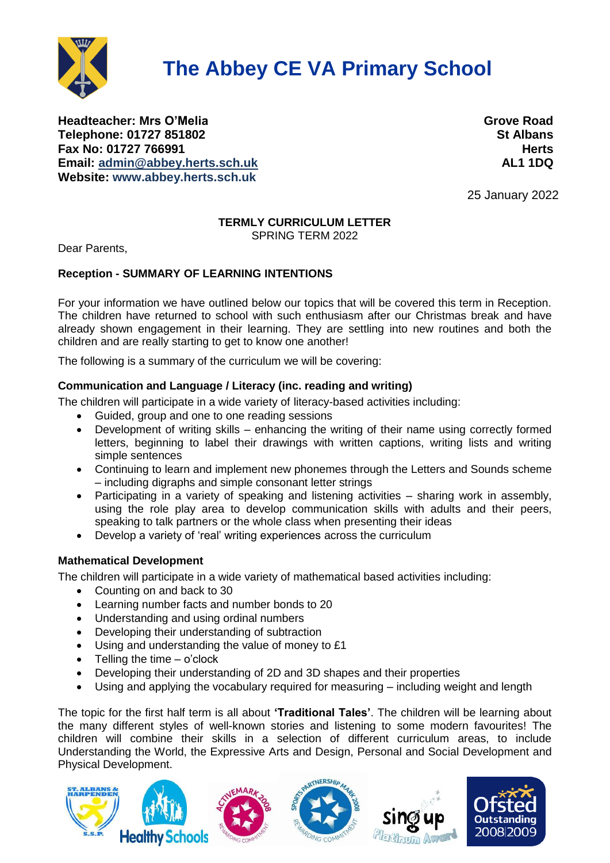

# **The Abbey CE VA Primary School**

**Headteacher: Mrs O'Melia Grove Road Telephone: 01727 851802 St Albans Fax No: 01727 766991 Herts Email: [admin@abbey.herts.sch.uk](mailto:admin@abbey.herts.sch.uk) AL1 1DQ Website: [www.abbey.herts.sch.uk](http://www.abbey.herts.sch.uk/)**

25 January 2022

## **TERMLY CURRICULUM LETTER**

SPRING TERM 2022

Dear Parents,

#### **Reception - SUMMARY OF LEARNING INTENTIONS**

For your information we have outlined below our topics that will be covered this term in Reception. The children have returned to school with such enthusiasm after our Christmas break and have already shown engagement in their learning. They are settling into new routines and both the children and are really starting to get to know one another!

The following is a summary of the curriculum we will be covering:

### **Communication and Language / Literacy (inc. reading and writing)**

The children will participate in a wide variety of literacy-based activities including:

- Guided, group and one to one reading sessions
- Development of writing skills enhancing the writing of their name using correctly formed letters, beginning to label their drawings with written captions, writing lists and writing simple sentences
- Continuing to learn and implement new phonemes through the Letters and Sounds scheme – including digraphs and simple consonant letter strings
- Participating in a variety of speaking and listening activities sharing work in assembly, using the role play area to develop communication skills with adults and their peers, speaking to talk partners or the whole class when presenting their ideas
- Develop a variety of 'real' writing experiences across the curriculum

#### **Mathematical Development**

The children will participate in a wide variety of mathematical based activities including:

- Counting on and back to 30
- Learning number facts and number bonds to 20
- Understanding and using ordinal numbers
- Developing their understanding of subtraction
- Using and understanding the value of money to £1
- $\bullet$  Telling the time o'clock
- Developing their understanding of 2D and 3D shapes and their properties
- Using and applying the vocabulary required for measuring including weight and length

The topic for the first half term is all about **'Traditional Tales'**. The children will be learning about the many different styles of well-known stories and listening to some modern favourites! The children will combine their skills in a selection of different curriculum areas, to include Understanding the World, the Expressive Arts and Design, Personal and Social Development and Physical Development.